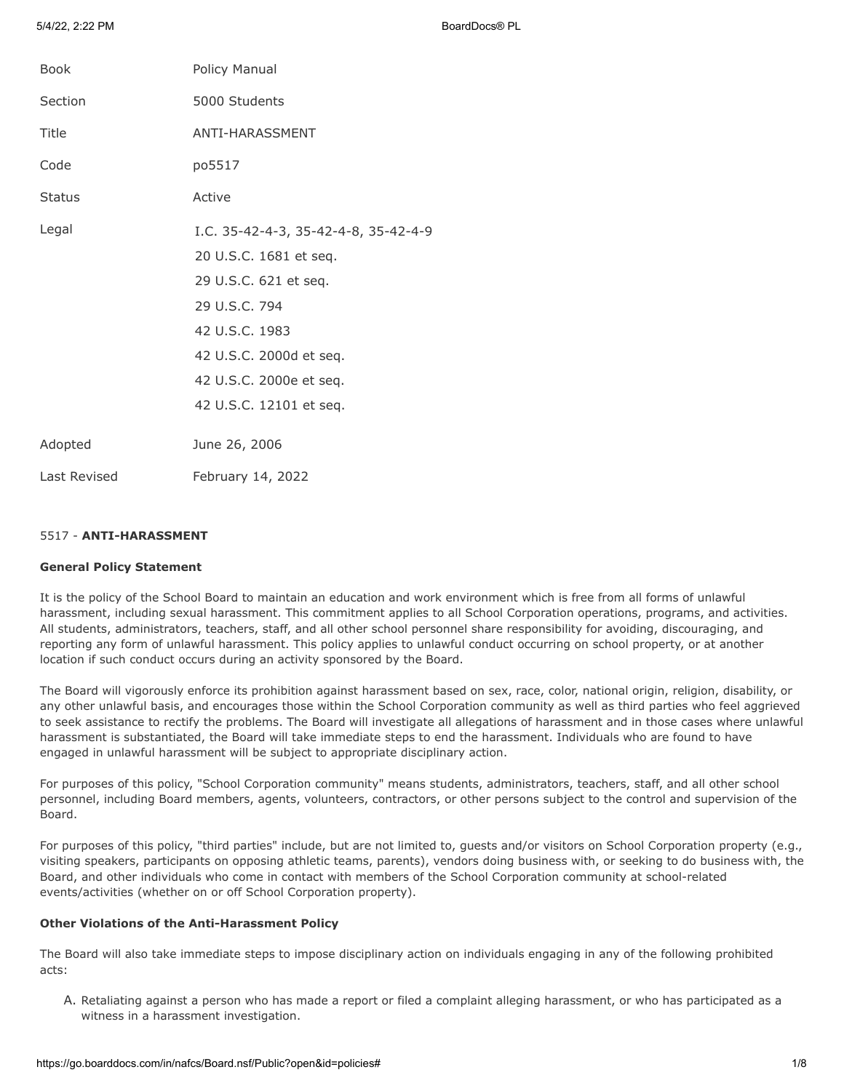5/4/22, 2:22 PM BoardDocs® PL

| <b>Book</b>   | Policy Manual                                                                                                                                                                                               |
|---------------|-------------------------------------------------------------------------------------------------------------------------------------------------------------------------------------------------------------|
| Section       | 5000 Students                                                                                                                                                                                               |
| Title         | ANTI-HARASSMENT                                                                                                                                                                                             |
| Code          | po5517                                                                                                                                                                                                      |
| <b>Status</b> | Active                                                                                                                                                                                                      |
| Legal         | I.C. 35-42-4-3, 35-42-4-8, 35-42-4-9<br>20 U.S.C. 1681 et seq.<br>29 U.S.C. 621 et seq.<br>29 U.S.C. 794<br>42 U.S.C. 1983<br>42 U.S.C. 2000d et seq.<br>42 U.S.C. 2000e et seq.<br>42 U.S.C. 12101 et seq. |
| Adopted       | June 26, 2006                                                                                                                                                                                               |
| Last Revised  | February 14, 2022                                                                                                                                                                                           |

## 5517 - **ANTI-HARASSMENT**

## **General Policy Statement**

It is the policy of the School Board to maintain an education and work environment which is free from all forms of unlawful harassment, including sexual harassment. This commitment applies to all School Corporation operations, programs, and activities. All students, administrators, teachers, staff, and all other school personnel share responsibility for avoiding, discouraging, and reporting any form of unlawful harassment. This policy applies to unlawful conduct occurring on school property, or at another location if such conduct occurs during an activity sponsored by the Board.

The Board will vigorously enforce its prohibition against harassment based on sex, race, color, national origin, religion, disability, or any other unlawful basis, and encourages those within the School Corporation community as well as third parties who feel aggrieved to seek assistance to rectify the problems. The Board will investigate all allegations of harassment and in those cases where unlawful harassment is substantiated, the Board will take immediate steps to end the harassment. Individuals who are found to have engaged in unlawful harassment will be subject to appropriate disciplinary action.

For purposes of this policy, "School Corporation community" means students, administrators, teachers, staff, and all other school personnel, including Board members, agents, volunteers, contractors, or other persons subject to the control and supervision of the Board.

For purposes of this policy, "third parties" include, but are not limited to, guests and/or visitors on School Corporation property (e.g., visiting speakers, participants on opposing athletic teams, parents), vendors doing business with, or seeking to do business with, the Board, and other individuals who come in contact with members of the School Corporation community at school-related events/activities (whether on or off School Corporation property).

# **Other Violations of the Anti-Harassment Policy**

The Board will also take immediate steps to impose disciplinary action on individuals engaging in any of the following prohibited acts:

A. Retaliating against a person who has made a report or filed a complaint alleging harassment, or who has participated as a witness in a harassment investigation.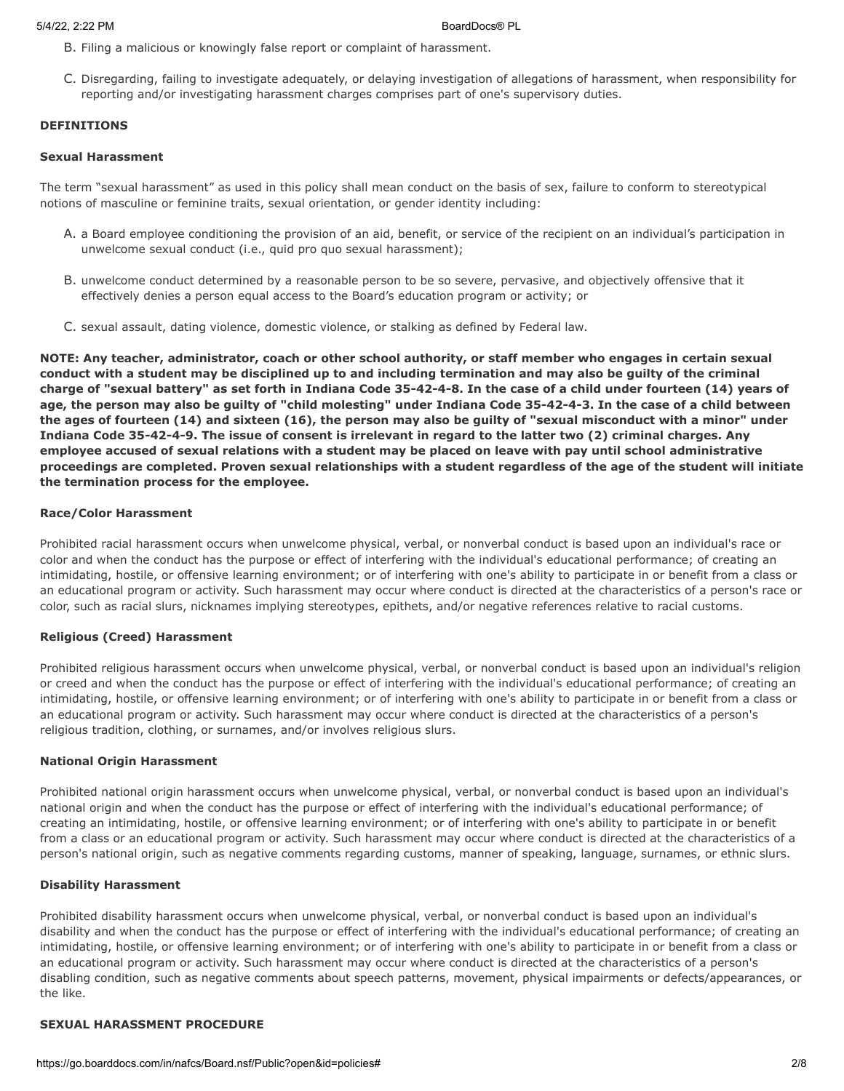- B. Filing a malicious or knowingly false report or complaint of harassment.
- C. Disregarding, failing to investigate adequately, or delaying investigation of allegations of harassment, when responsibility for reporting and/or investigating harassment charges comprises part of one's supervisory duties.

## **DEFINITIONS**

## **Sexual Harassment**

The term "sexual harassment" as used in this policy shall mean conduct on the basis of sex, failure to conform to stereotypical notions of masculine or feminine traits, sexual orientation, or gender identity including:

- A. a Board employee conditioning the provision of an aid, benefit, or service of the recipient on an individual's participation in unwelcome sexual conduct (i.e., quid pro quo sexual harassment);
- B. unwelcome conduct determined by a reasonable person to be so severe, pervasive, and objectively offensive that it effectively denies a person equal access to the Board's education program or activity; or
- C. sexual assault, dating violence, domestic violence, or stalking as defined by Federal law.

**NOTE: Any teacher, administrator, coach or other school authority, or staff member who engages in certain sexual conduct with a student may be disciplined up to and including termination and may also be guilty of the criminal charge of "sexual battery" as set forth in Indiana Code 35-42-4-8. In the case of a child under fourteen (14) years of age, the person may also be guilty of "child molesting" under Indiana Code 35-42-4-3. In the case of a child between the ages of fourteen (14) and sixteen (16), the person may also be guilty of "sexual misconduct with a minor" under Indiana Code 35-42-4-9. The issue of consent is irrelevant in regard to the latter two (2) criminal charges. Any employee accused of sexual relations with a student may be placed on leave with pay until school administrative proceedings are completed. Proven sexual relationships with a student regardless of the age of the student will initiate the termination process for the employee.**

### **Race/Color Harassment**

Prohibited racial harassment occurs when unwelcome physical, verbal, or nonverbal conduct is based upon an individual's race or color and when the conduct has the purpose or effect of interfering with the individual's educational performance; of creating an intimidating, hostile, or offensive learning environment; or of interfering with one's ability to participate in or benefit from a class or an educational program or activity. Such harassment may occur where conduct is directed at the characteristics of a person's race or color, such as racial slurs, nicknames implying stereotypes, epithets, and/or negative references relative to racial customs.

## **Religious (Creed) Harassment**

Prohibited religious harassment occurs when unwelcome physical, verbal, or nonverbal conduct is based upon an individual's religion or creed and when the conduct has the purpose or effect of interfering with the individual's educational performance; of creating an intimidating, hostile, or offensive learning environment; or of interfering with one's ability to participate in or benefit from a class or an educational program or activity. Such harassment may occur where conduct is directed at the characteristics of a person's religious tradition, clothing, or surnames, and/or involves religious slurs.

## **National Origin Harassment**

Prohibited national origin harassment occurs when unwelcome physical, verbal, or nonverbal conduct is based upon an individual's national origin and when the conduct has the purpose or effect of interfering with the individual's educational performance; of creating an intimidating, hostile, or offensive learning environment; or of interfering with one's ability to participate in or benefit from a class or an educational program or activity. Such harassment may occur where conduct is directed at the characteristics of a person's national origin, such as negative comments regarding customs, manner of speaking, language, surnames, or ethnic slurs.

### **Disability Harassment**

Prohibited disability harassment occurs when unwelcome physical, verbal, or nonverbal conduct is based upon an individual's disability and when the conduct has the purpose or effect of interfering with the individual's educational performance; of creating an intimidating, hostile, or offensive learning environment; or of interfering with one's ability to participate in or benefit from a class or an educational program or activity. Such harassment may occur where conduct is directed at the characteristics of a person's disabling condition, such as negative comments about speech patterns, movement, physical impairments or defects/appearances, or the like.

# **SEXUAL HARASSMENT PROCEDURE**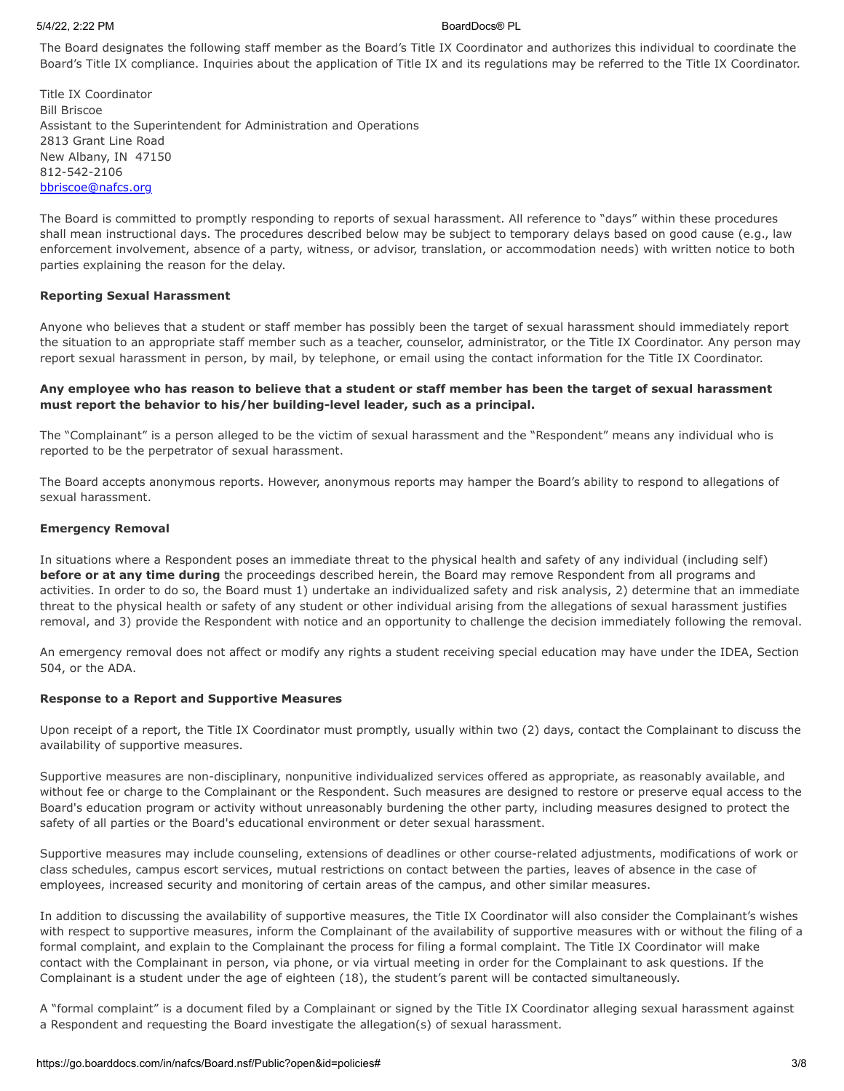### 5/4/22, 2:22 PM BoardDocs® PL

The Board designates the following staff member as the Board's Title IX Coordinator and authorizes this individual to coordinate the Board's Title IX compliance. Inquiries about the application of Title IX and its regulations may be referred to the Title IX Coordinator.

Title IX Coordinator Bill Briscoe Assistant to the Superintendent for Administration and Operations 2813 Grant Line Road New Albany, IN 47150 812-542-2106 [bbriscoe@nafcs.org](mailto:bbriscoe@nafcs.org)

The Board is committed to promptly responding to reports of sexual harassment. All reference to "days" within these procedures shall mean instructional days. The procedures described below may be subject to temporary delays based on good cause (e.g., law enforcement involvement, absence of a party, witness, or advisor, translation, or accommodation needs) with written notice to both parties explaining the reason for the delay.

## **Reporting Sexual Harassment**

Anyone who believes that a student or staff member has possibly been the target of sexual harassment should immediately report the situation to an appropriate staff member such as a teacher, counselor, administrator, or the Title IX Coordinator. Any person may report sexual harassment in person, by mail, by telephone, or email using the contact information for the Title IX Coordinator.

# **Any employee who has reason to believe that a student or staff member has been the target of sexual harassment must report the behavior to his/her building-level leader, such as a principal.**

The "Complainant" is a person alleged to be the victim of sexual harassment and the "Respondent" means any individual who is reported to be the perpetrator of sexual harassment.

The Board accepts anonymous reports. However, anonymous reports may hamper the Board's ability to respond to allegations of sexual harassment.

## **Emergency Removal**

In situations where a Respondent poses an immediate threat to the physical health and safety of any individual (including self) **before or at any time during** the proceedings described herein, the Board may remove Respondent from all programs and activities. In order to do so, the Board must 1) undertake an individualized safety and risk analysis, 2) determine that an immediate threat to the physical health or safety of any student or other individual arising from the allegations of sexual harassment justifies removal, and 3) provide the Respondent with notice and an opportunity to challenge the decision immediately following the removal.

An emergency removal does not affect or modify any rights a student receiving special education may have under the IDEA, Section 504, or the ADA.

## **Response to a Report and Supportive Measures**

Upon receipt of a report, the Title IX Coordinator must promptly, usually within two (2) days, contact the Complainant to discuss the availability of supportive measures.

Supportive measures are non-disciplinary, nonpunitive individualized services offered as appropriate, as reasonably available, and without fee or charge to the Complainant or the Respondent. Such measures are designed to restore or preserve equal access to the Board's education program or activity without unreasonably burdening the other party, including measures designed to protect the safety of all parties or the Board's educational environment or deter sexual harassment.

Supportive measures may include counseling, extensions of deadlines or other course-related adjustments, modifications of work or class schedules, campus escort services, mutual restrictions on contact between the parties, leaves of absence in the case of employees, increased security and monitoring of certain areas of the campus, and other similar measures.

In addition to discussing the availability of supportive measures, the Title IX Coordinator will also consider the Complainant's wishes with respect to supportive measures, inform the Complainant of the availability of supportive measures with or without the filing of a formal complaint, and explain to the Complainant the process for filing a formal complaint. The Title IX Coordinator will make contact with the Complainant in person, via phone, or via virtual meeting in order for the Complainant to ask questions. If the Complainant is a student under the age of eighteen (18), the student's parent will be contacted simultaneously.

A "formal complaint" is a document filed by a Complainant or signed by the Title IX Coordinator alleging sexual harassment against a Respondent and requesting the Board investigate the allegation(s) of sexual harassment.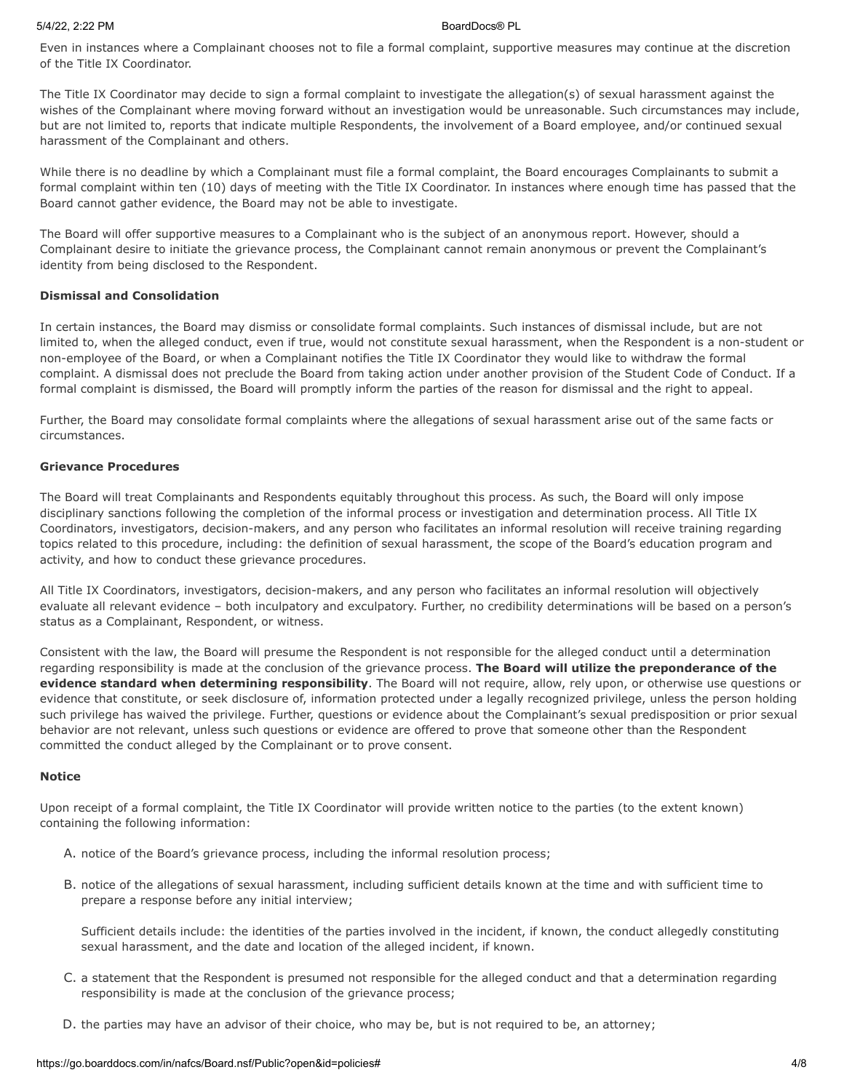Even in instances where a Complainant chooses not to file a formal complaint, supportive measures may continue at the discretion of the Title IX Coordinator.

The Title IX Coordinator may decide to sign a formal complaint to investigate the allegation(s) of sexual harassment against the wishes of the Complainant where moving forward without an investigation would be unreasonable. Such circumstances may include, but are not limited to, reports that indicate multiple Respondents, the involvement of a Board employee, and/or continued sexual harassment of the Complainant and others.

While there is no deadline by which a Complainant must file a formal complaint, the Board encourages Complainants to submit a formal complaint within ten (10) days of meeting with the Title IX Coordinator. In instances where enough time has passed that the Board cannot gather evidence, the Board may not be able to investigate.

The Board will offer supportive measures to a Complainant who is the subject of an anonymous report. However, should a Complainant desire to initiate the grievance process, the Complainant cannot remain anonymous or prevent the Complainant's identity from being disclosed to the Respondent.

# **Dismissal and Consolidation**

In certain instances, the Board may dismiss or consolidate formal complaints. Such instances of dismissal include, but are not limited to, when the alleged conduct, even if true, would not constitute sexual harassment, when the Respondent is a non-student or non-employee of the Board, or when a Complainant notifies the Title IX Coordinator they would like to withdraw the formal complaint. A dismissal does not preclude the Board from taking action under another provision of the Student Code of Conduct. If a formal complaint is dismissed, the Board will promptly inform the parties of the reason for dismissal and the right to appeal.

Further, the Board may consolidate formal complaints where the allegations of sexual harassment arise out of the same facts or circumstances.

## **Grievance Procedures**

The Board will treat Complainants and Respondents equitably throughout this process. As such, the Board will only impose disciplinary sanctions following the completion of the informal process or investigation and determination process. All Title IX Coordinators, investigators, decision-makers, and any person who facilitates an informal resolution will receive training regarding topics related to this procedure, including: the definition of sexual harassment, the scope of the Board's education program and activity, and how to conduct these grievance procedures.

All Title IX Coordinators, investigators, decision-makers, and any person who facilitates an informal resolution will objectively evaluate all relevant evidence – both inculpatory and exculpatory. Further, no credibility determinations will be based on a person's status as a Complainant, Respondent, or witness.

Consistent with the law, the Board will presume the Respondent is not responsible for the alleged conduct until a determination regarding responsibility is made at the conclusion of the grievance process. **The Board will utilize the preponderance of the evidence standard when determining responsibility**. The Board will not require, allow, rely upon, or otherwise use questions or evidence that constitute, or seek disclosure of, information protected under a legally recognized privilege, unless the person holding such privilege has waived the privilege. Further, questions or evidence about the Complainant's sexual predisposition or prior sexual behavior are not relevant, unless such questions or evidence are offered to prove that someone other than the Respondent committed the conduct alleged by the Complainant or to prove consent.

## **Notice**

Upon receipt of a formal complaint, the Title IX Coordinator will provide written notice to the parties (to the extent known) containing the following information:

- A. notice of the Board's grievance process, including the informal resolution process;
- B. notice of the allegations of sexual harassment, including sufficient details known at the time and with sufficient time to prepare a response before any initial interview;

Sufficient details include: the identities of the parties involved in the incident, if known, the conduct allegedly constituting sexual harassment, and the date and location of the alleged incident, if known.

- C. a statement that the Respondent is presumed not responsible for the alleged conduct and that a determination regarding responsibility is made at the conclusion of the grievance process;
- D. the parties may have an advisor of their choice, who may be, but is not required to be, an attorney;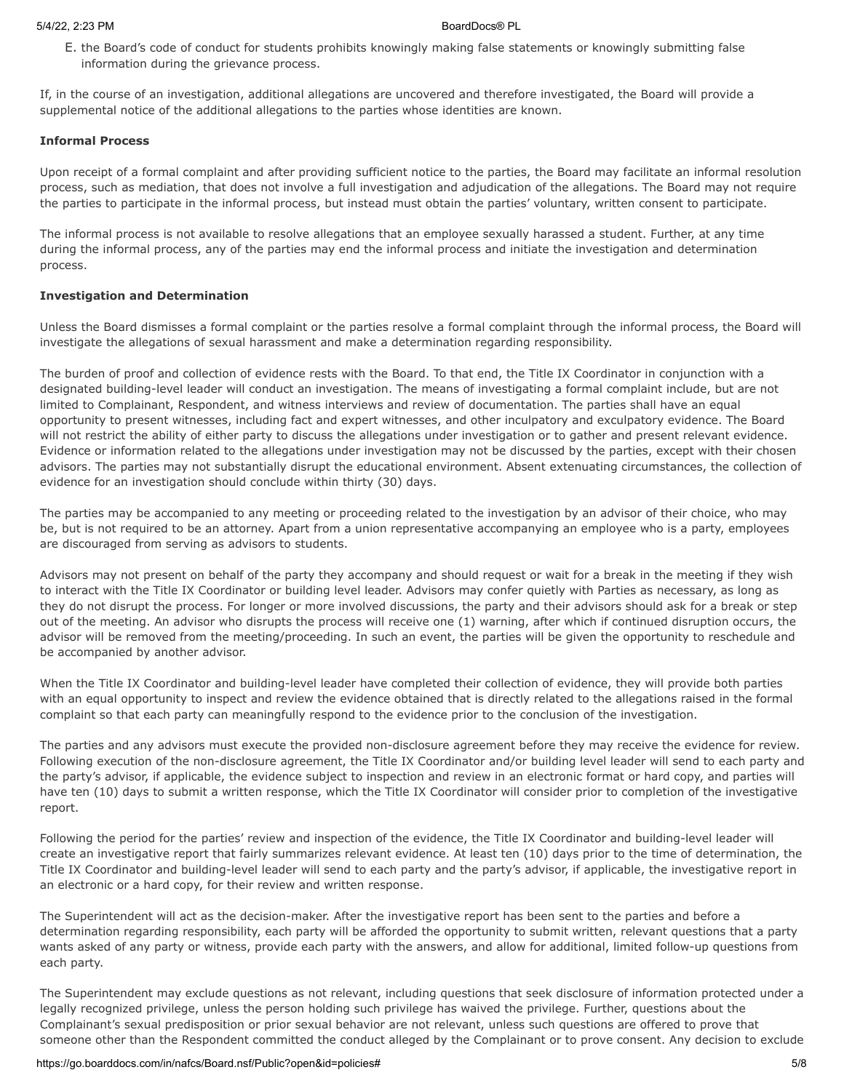E. the Board's code of conduct for students prohibits knowingly making false statements or knowingly submitting false information during the grievance process.

If, in the course of an investigation, additional allegations are uncovered and therefore investigated, the Board will provide a supplemental notice of the additional allegations to the parties whose identities are known.

### **Informal Process**

Upon receipt of a formal complaint and after providing sufficient notice to the parties, the Board may facilitate an informal resolution process, such as mediation, that does not involve a full investigation and adjudication of the allegations. The Board may not require the parties to participate in the informal process, but instead must obtain the parties' voluntary, written consent to participate.

The informal process is not available to resolve allegations that an employee sexually harassed a student. Further, at any time during the informal process, any of the parties may end the informal process and initiate the investigation and determination process.

## **Investigation and Determination**

Unless the Board dismisses a formal complaint or the parties resolve a formal complaint through the informal process, the Board will investigate the allegations of sexual harassment and make a determination regarding responsibility.

The burden of proof and collection of evidence rests with the Board. To that end, the Title IX Coordinator in conjunction with a designated building-level leader will conduct an investigation. The means of investigating a formal complaint include, but are not limited to Complainant, Respondent, and witness interviews and review of documentation. The parties shall have an equal opportunity to present witnesses, including fact and expert witnesses, and other inculpatory and exculpatory evidence. The Board will not restrict the ability of either party to discuss the allegations under investigation or to gather and present relevant evidence. Evidence or information related to the allegations under investigation may not be discussed by the parties, except with their chosen advisors. The parties may not substantially disrupt the educational environment. Absent extenuating circumstances, the collection of evidence for an investigation should conclude within thirty (30) days.

The parties may be accompanied to any meeting or proceeding related to the investigation by an advisor of their choice, who may be, but is not required to be an attorney. Apart from a union representative accompanying an employee who is a party, employees are discouraged from serving as advisors to students.

Advisors may not present on behalf of the party they accompany and should request or wait for a break in the meeting if they wish to interact with the Title IX Coordinator or building level leader. Advisors may confer quietly with Parties as necessary, as long as they do not disrupt the process. For longer or more involved discussions, the party and their advisors should ask for a break or step out of the meeting. An advisor who disrupts the process will receive one (1) warning, after which if continued disruption occurs, the advisor will be removed from the meeting/proceeding. In such an event, the parties will be given the opportunity to reschedule and be accompanied by another advisor.

When the Title IX Coordinator and building-level leader have completed their collection of evidence, they will provide both parties with an equal opportunity to inspect and review the evidence obtained that is directly related to the allegations raised in the formal complaint so that each party can meaningfully respond to the evidence prior to the conclusion of the investigation.

The parties and any advisors must execute the provided non-disclosure agreement before they may receive the evidence for review. Following execution of the non-disclosure agreement, the Title IX Coordinator and/or building level leader will send to each party and the party's advisor, if applicable, the evidence subject to inspection and review in an electronic format or hard copy, and parties will have ten (10) days to submit a written response, which the Title IX Coordinator will consider prior to completion of the investigative report.

Following the period for the parties' review and inspection of the evidence, the Title IX Coordinator and building-level leader will create an investigative report that fairly summarizes relevant evidence. At least ten (10) days prior to the time of determination, the Title IX Coordinator and building-level leader will send to each party and the party's advisor, if applicable, the investigative report in an electronic or a hard copy, for their review and written response.

The Superintendent will act as the decision-maker. After the investigative report has been sent to the parties and before a determination regarding responsibility, each party will be afforded the opportunity to submit written, relevant questions that a party wants asked of any party or witness, provide each party with the answers, and allow for additional, limited follow-up questions from each party.

The Superintendent may exclude questions as not relevant, including questions that seek disclosure of information protected under a legally recognized privilege, unless the person holding such privilege has waived the privilege. Further, questions about the Complainant's sexual predisposition or prior sexual behavior are not relevant, unless such questions are offered to prove that someone other than the Respondent committed the conduct alleged by the Complainant or to prove consent. Any decision to exclude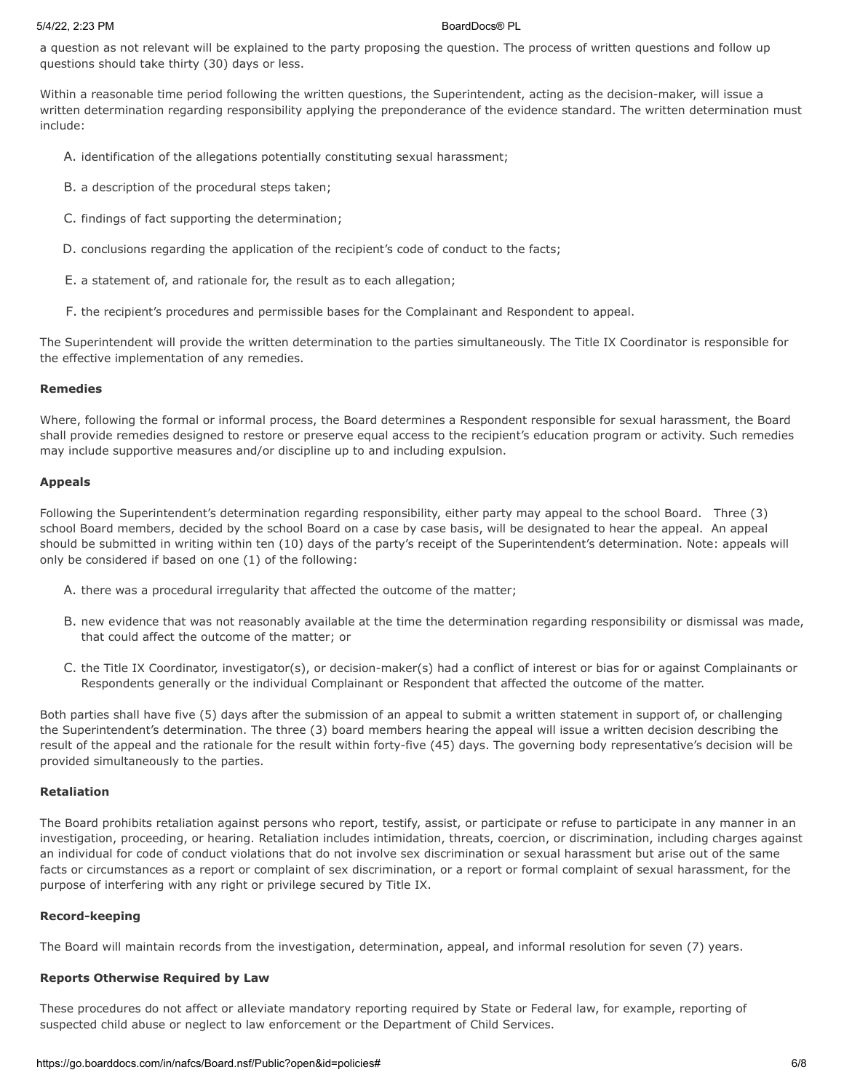a question as not relevant will be explained to the party proposing the question. The process of written questions and follow up questions should take thirty (30) days or less.

Within a reasonable time period following the written questions, the Superintendent, acting as the decision-maker, will issue a written determination regarding responsibility applying the preponderance of the evidence standard. The written determination must include:

- A. identification of the allegations potentially constituting sexual harassment;
- B. a description of the procedural steps taken;
- C. findings of fact supporting the determination;
- D. conclusions regarding the application of the recipient's code of conduct to the facts;
- E. a statement of, and rationale for, the result as to each allegation;
- F. the recipient's procedures and permissible bases for the Complainant and Respondent to appeal.

The Superintendent will provide the written determination to the parties simultaneously. The Title IX Coordinator is responsible for the effective implementation of any remedies.

## **Remedies**

Where, following the formal or informal process, the Board determines a Respondent responsible for sexual harassment, the Board shall provide remedies designed to restore or preserve equal access to the recipient's education program or activity. Such remedies may include supportive measures and/or discipline up to and including expulsion.

### **Appeals**

Following the Superintendent's determination regarding responsibility, either party may appeal to the school Board. Three (3) school Board members, decided by the school Board on a case by case basis, will be designated to hear the appeal. An appeal should be submitted in writing within ten (10) days of the party's receipt of the Superintendent's determination. Note: appeals will only be considered if based on one (1) of the following:

- A. there was a procedural irregularity that affected the outcome of the matter;
- B. new evidence that was not reasonably available at the time the determination regarding responsibility or dismissal was made, that could affect the outcome of the matter; or
- C. the Title IX Coordinator, investigator(s), or decision-maker(s) had a conflict of interest or bias for or against Complainants or Respondents generally or the individual Complainant or Respondent that affected the outcome of the matter.

Both parties shall have five (5) days after the submission of an appeal to submit a written statement in support of, or challenging the Superintendent's determination. The three (3) board members hearing the appeal will issue a written decision describing the result of the appeal and the rationale for the result within forty-five (45) days. The governing body representative's decision will be provided simultaneously to the parties.

### **Retaliation**

The Board prohibits retaliation against persons who report, testify, assist, or participate or refuse to participate in any manner in an investigation, proceeding, or hearing. Retaliation includes intimidation, threats, coercion, or discrimination, including charges against an individual for code of conduct violations that do not involve sex discrimination or sexual harassment but arise out of the same facts or circumstances as a report or complaint of sex discrimination, or a report or formal complaint of sexual harassment, for the purpose of interfering with any right or privilege secured by Title IX.

## **Record-keeping**

The Board will maintain records from the investigation, determination, appeal, and informal resolution for seven (7) years.

## **Reports Otherwise Required by Law**

These procedures do not affect or alleviate mandatory reporting required by State or Federal law, for example, reporting of suspected child abuse or neglect to law enforcement or the Department of Child Services.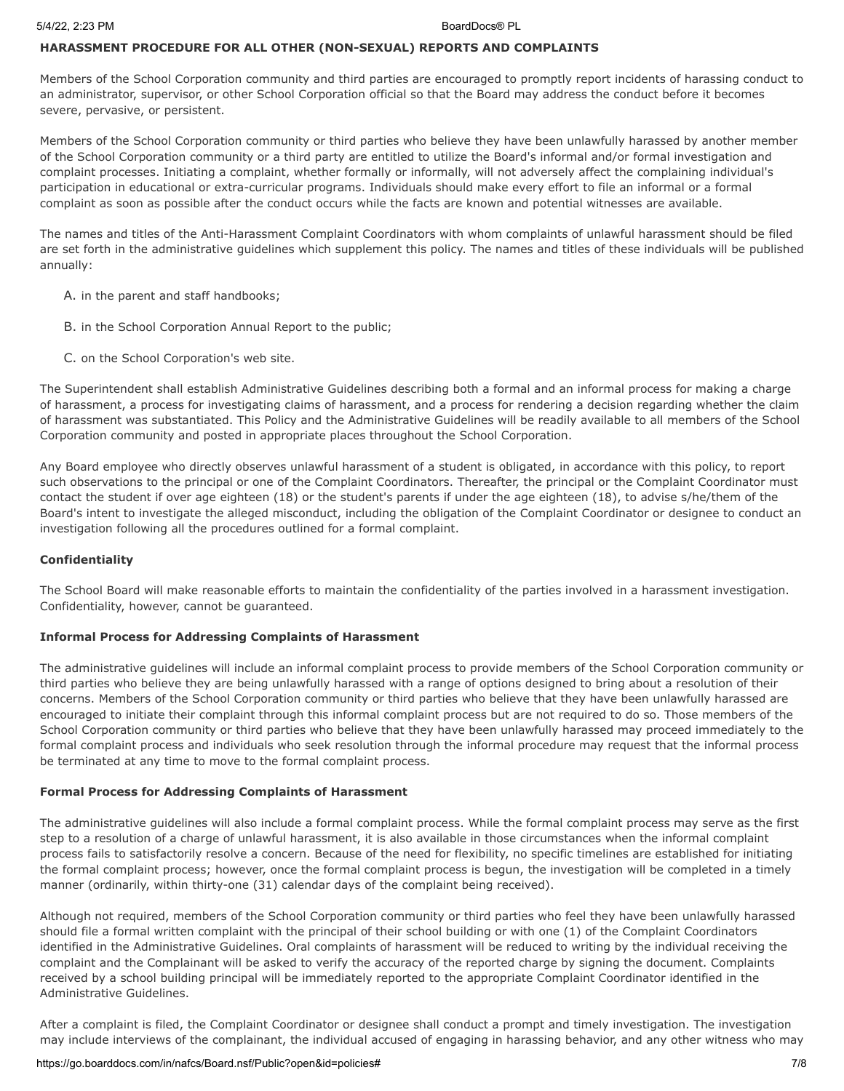## **HARASSMENT PROCEDURE FOR ALL OTHER (NON-SEXUAL) REPORTS AND COMPLAINTS**

Members of the School Corporation community and third parties are encouraged to promptly report incidents of harassing conduct to an administrator, supervisor, or other School Corporation official so that the Board may address the conduct before it becomes severe, pervasive, or persistent.

Members of the School Corporation community or third parties who believe they have been unlawfully harassed by another member of the School Corporation community or a third party are entitled to utilize the Board's informal and/or formal investigation and complaint processes. Initiating a complaint, whether formally or informally, will not adversely affect the complaining individual's participation in educational or extra-curricular programs. Individuals should make every effort to file an informal or a formal complaint as soon as possible after the conduct occurs while the facts are known and potential witnesses are available.

The names and titles of the Anti-Harassment Complaint Coordinators with whom complaints of unlawful harassment should be filed are set forth in the administrative guidelines which supplement this policy. The names and titles of these individuals will be published annually:

- A. in the parent and staff handbooks;
- B. in the School Corporation Annual Report to the public;
- C. on the School Corporation's web site.

The Superintendent shall establish Administrative Guidelines describing both a formal and an informal process for making a charge of harassment, a process for investigating claims of harassment, and a process for rendering a decision regarding whether the claim of harassment was substantiated. This Policy and the Administrative Guidelines will be readily available to all members of the School Corporation community and posted in appropriate places throughout the School Corporation.

Any Board employee who directly observes unlawful harassment of a student is obligated, in accordance with this policy, to report such observations to the principal or one of the Complaint Coordinators. Thereafter, the principal or the Complaint Coordinator must contact the student if over age eighteen (18) or the student's parents if under the age eighteen (18), to advise s/he/them of the Board's intent to investigate the alleged misconduct, including the obligation of the Complaint Coordinator or designee to conduct an investigation following all the procedures outlined for a formal complaint.

### **Confidentiality**

The School Board will make reasonable efforts to maintain the confidentiality of the parties involved in a harassment investigation. Confidentiality, however, cannot be guaranteed.

## **Informal Process for Addressing Complaints of Harassment**

The administrative guidelines will include an informal complaint process to provide members of the School Corporation community or third parties who believe they are being unlawfully harassed with a range of options designed to bring about a resolution of their concerns. Members of the School Corporation community or third parties who believe that they have been unlawfully harassed are encouraged to initiate their complaint through this informal complaint process but are not required to do so. Those members of the School Corporation community or third parties who believe that they have been unlawfully harassed may proceed immediately to the formal complaint process and individuals who seek resolution through the informal procedure may request that the informal process be terminated at any time to move to the formal complaint process.

### **Formal Process for Addressing Complaints of Harassment**

The administrative guidelines will also include a formal complaint process. While the formal complaint process may serve as the first step to a resolution of a charge of unlawful harassment, it is also available in those circumstances when the informal complaint process fails to satisfactorily resolve a concern. Because of the need for flexibility, no specific timelines are established for initiating the formal complaint process; however, once the formal complaint process is begun, the investigation will be completed in a timely manner (ordinarily, within thirty-one (31) calendar days of the complaint being received).

Although not required, members of the School Corporation community or third parties who feel they have been unlawfully harassed should file a formal written complaint with the principal of their school building or with one (1) of the Complaint Coordinators identified in the Administrative Guidelines. Oral complaints of harassment will be reduced to writing by the individual receiving the complaint and the Complainant will be asked to verify the accuracy of the reported charge by signing the document. Complaints received by a school building principal will be immediately reported to the appropriate Complaint Coordinator identified in the Administrative Guidelines.

After a complaint is filed, the Complaint Coordinator or designee shall conduct a prompt and timely investigation. The investigation may include interviews of the complainant, the individual accused of engaging in harassing behavior, and any other witness who may